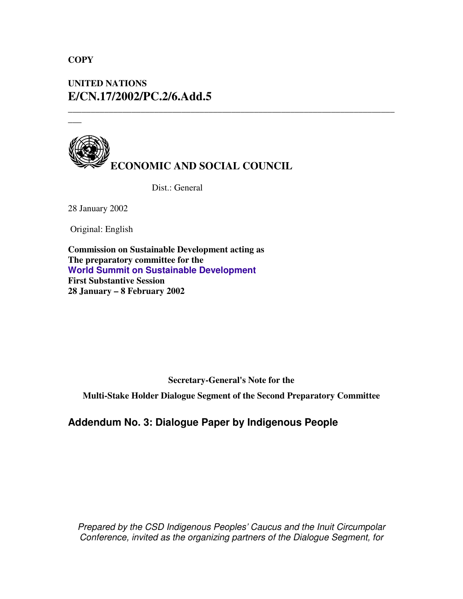## **COPY**

**\_\_\_**

# **UNITED NATIONS E/CN.17/2002/PC.2/6.Add.5**



Dist.: General

28 January 2002

Original: English

**Commission on Sustainable Development acting as The preparatory committee for the World Summit on Sustainable Development First Substantive Session 28 January – 8 February 2002**

**Secretary-General's Note for the**

**\_\_\_\_\_\_\_\_\_\_\_\_\_\_\_\_\_\_\_\_\_\_\_\_\_\_\_\_\_\_\_\_\_\_\_\_\_\_\_\_\_\_\_\_\_\_\_\_\_\_\_\_\_\_\_\_\_\_\_\_\_\_\_\_\_\_\_\_\_\_\_\_**

**Multi-Stake Holder Dialogue Segment of the Second Preparatory Committee**

**Addendum No. 3: Dialogue Paper by Indigenous People**

*Prepared by the CSD Indigenous Peoples' Caucus and the Inuit Circumpolar Conference, invited as the organizing partners of the Dialogue Segment, for*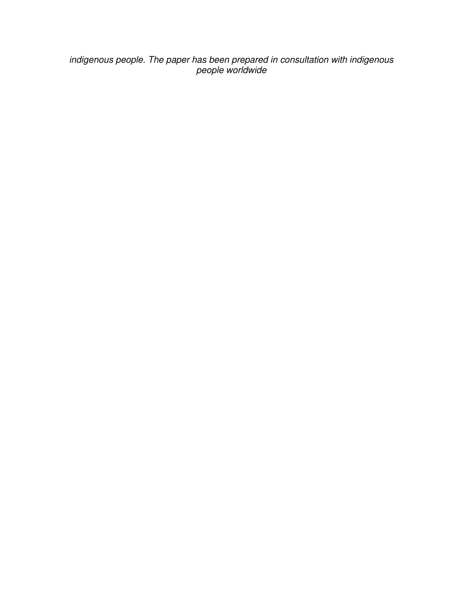*indigenous people. The paper has been prepared in consultation with indigenous people worldwide*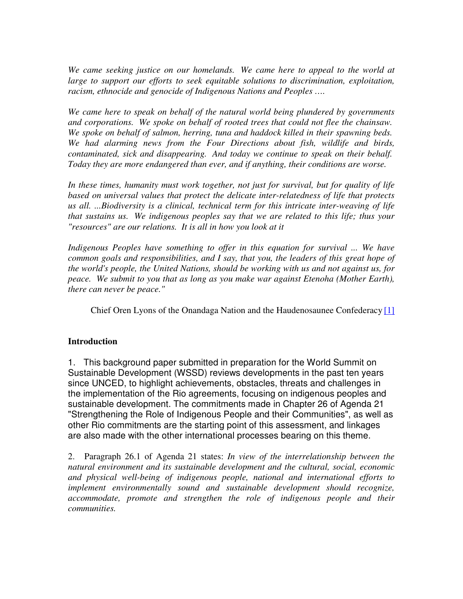*We came seeking justice on our homelands. We came here to appeal to the world at large to support our efforts to seek equitable solutions to discrimination, exploitation, racism, ethnocide and genocide of Indigenous Nations and Peoples ….*

*We came here to speak on behalf of the natural world being plundered by governments and corporations. We spoke on behalf of rooted trees that could not flee the chainsaw. We spoke on behalf of salmon, herring, tuna and haddock killed in their spawning beds. We had alarming news from the Four Directions about fish, wildlife and birds, contaminated, sick and disappearing. And today we continue to speak on their behalf. Today they are more endangered than ever, and if anything, their conditions are worse.*

*In these times, humanity must work together, not just for survival, but for quality of life based on universal values that protect the delicate inter-relatedness of life that protects us all. ...Biodiversity is a clinical, technical term for this intricate inter-weaving of life that sustains us. We indigenous peoples say that we are related to this life; thus your "resources" are our relations. It is all in how you look at it*

*Indigenous Peoples have something to offer in this equation for survival ... We have common goals and responsibilities, and I say, that you, the leaders of this great hope of the world's people, the United Nations, should be working with us and not against us, for peace. We submit to you that as long as you make war against Etenoha (Mother Earth), there can never be peace."*

Chief Oren Lyons of the Onandaga Nation and the Haudenosaunee Confederacy [1]

## **Introduction**

1. This background paper submitted in preparation for the World Summit on Sustainable Development (WSSD) reviews developments in the past ten years since UNCED, to highlight achievements, obstacles, threats and challenges in the implementation of the Rio agreements, focusing on indigenous peoples and sustainable development. The commitments made in Chapter 26 of Agenda 21 "Strengthening the Role of Indigenous People and their Communities", as well as other Rio commitments are the starting point of this assessment, and linkages are also made with the other international processes bearing on this theme.

2. Paragraph 26.1 of Agenda 21 states: *In view of the interrelationship between the natural environment and its sustainable development and the cultural, social, economic and physical well-being of indigenous people, national and international efforts to implement environmentally sound and sustainable development should recognize, accommodate, promote and strengthen the role of indigenous people and their communities.*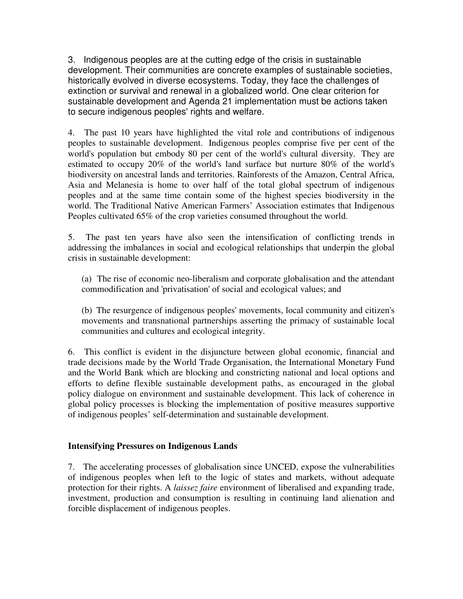3. Indigenous peoples are at the cutting edge of the crisis in sustainable development. Their communities are concrete examples of sustainable societies, historically evolved in diverse ecosystems. Today, they face the challenges of extinction or survival and renewal in a globalized world. One clear criterion for sustainable development and Agenda 21 implementation must be actions taken to secure indigenous peoples' rights and welfare.

4. The past 10 years have highlighted the vital role and contributions of indigenous peoples to sustainable development. Indigenous peoples comprise five per cent of the world's population but embody 80 per cent of the world's cultural diversity. They are estimated to occupy 20% of the world's land surface but nurture 80% of the world's biodiversity on ancestral lands and territories. Rainforests of the Amazon, Central Africa, Asia and Melanesia is home to over half of the total global spectrum of indigenous peoples and at the same time contain some of the highest species biodiversity in the world. The Traditional Native American Farmers' Association estimates that Indigenous Peoples cultivated 65% of the crop varieties consumed throughout the world.

5. The past ten years have also seen the intensification of conflicting trends in addressing the imbalances in social and ecological relationships that underpin the global crisis in sustainable development:

(a) The rise of economic neo-liberalism and corporate globalisation and the attendant commodification and 'privatisation' of social and ecological values; and

(b) The resurgence of indigenous peoples' movements, local community and citizen's movements and transnational partnerships asserting the primacy of sustainable local communities and cultures and ecological integrity.

6. This conflict is evident in the disjuncture between global economic, financial and trade decisions made by the World Trade Organisation, the International Monetary Fund and the World Bank which are blocking and constricting national and local options and efforts to define flexible sustainable development paths, as encouraged in the global policy dialogue on environment and sustainable development. This lack of coherence in global policy processes is blocking the implementation of positive measures supportive of indigenous peoples' self-determination and sustainable development.

### **Intensifying Pressures on Indigenous Lands**

7. The accelerating processes of globalisation since UNCED, expose the vulnerabilities of indigenous peoples when left to the logic of states and markets, without adequate protection for their rights. A *laissez faire* environment of liberalised and expanding trade, investment, production and consumption is resulting in continuing land alienation and forcible displacement of indigenous peoples.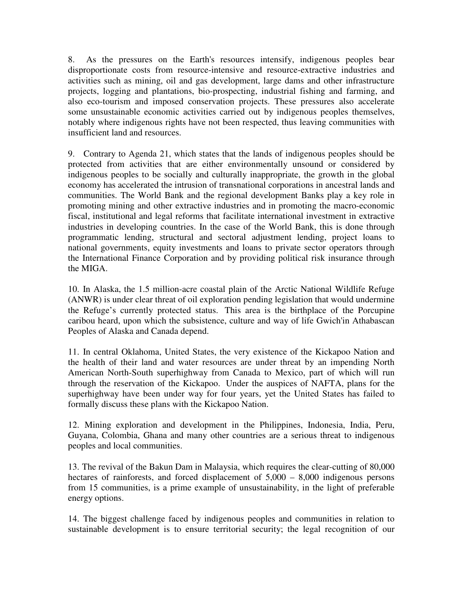8. As the pressures on the Earth's resources intensify, indigenous peoples bear disproportionate costs from resource-intensive and resource-extractive industries and activities such as mining, oil and gas development, large dams and other infrastructure projects, logging and plantations, bio-prospecting, industrial fishing and farming, and also eco-tourism and imposed conservation projects. These pressures also accelerate some unsustainable economic activities carried out by indigenous peoples themselves, notably where indigenous rights have not been respected, thus leaving communities with insufficient land and resources.

9. Contrary to Agenda 21, which states that the lands of indigenous peoples should be protected from activities that are either environmentally unsound or considered by indigenous peoples to be socially and culturally inappropriate, the growth in the global economy has accelerated the intrusion of transnational corporations in ancestral lands and communities. The World Bank and the regional development Banks play a key role in promoting mining and other extractive industries and in promoting the macro-economic fiscal, institutional and legal reforms that facilitate international investment in extractive industries in developing countries. In the case of the World Bank, this is done through programmatic lending, structural and sectoral adjustment lending, project loans to national governments, equity investments and loans to private sector operators through the International Finance Corporation and by providing political risk insurance through the MIGA.

10. In Alaska, the 1.5 million-acre coastal plain of the Arctic National Wildlife Refuge (ANWR) is under clear threat of oil exploration pending legislation that would undermine the Refuge's currently protected status. This area is the birthplace of the Porcupine caribou heard, upon which the subsistence, culture and way of life Gwich'in Athabascan Peoples of Alaska and Canada depend.

11. In central Oklahoma, United States, the very existence of the Kickapoo Nation and the health of their land and water resources are under threat by an impending North American North-South superhighway from Canada to Mexico, part of which will run through the reservation of the Kickapoo. Under the auspices of NAFTA, plans for the superhighway have been under way for four years, yet the United States has failed to formally discuss these plans with the Kickapoo Nation.

12. Mining exploration and development in the Philippines, Indonesia, India, Peru, Guyana, Colombia, Ghana and many other countries are a serious threat to indigenous peoples and local communities.

13. The revival of the Bakun Dam in Malaysia, which requires the clear-cutting of 80,000 hectares of rainforests, and forced displacement of  $5,000 - 8,000$  indigenous persons from 15 communities, is a prime example of unsustainability, in the light of preferable energy options.

14. The biggest challenge faced by indigenous peoples and communities in relation to sustainable development is to ensure territorial security; the legal recognition of our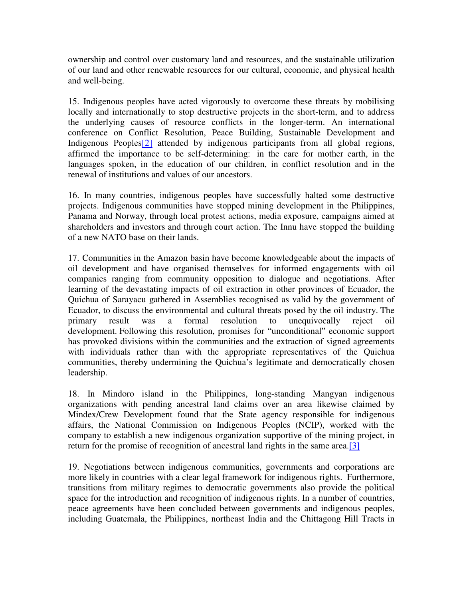ownership and control over customary land and resources, and the sustainable utilization of our land and other renewable resources for our cultural, economic, and physical health and well-being.

15. Indigenous peoples have acted vigorously to overcome these threats by mobilising locally and internationally to stop destructive projects in the short-term, and to address the underlying causes of resource conflicts in the longer-term. An international conference on Conflict Resolution, Peace Building, Sustainable Development and Indigenous Peoples[2] attended by indigenous participants from all global regions, affirmed the importance to be self-determining: in the care for mother earth, in the languages spoken, in the education of our children, in conflict resolution and in the renewal of institutions and values of our ancestors.

16. In many countries, indigenous peoples have successfully halted some destructive projects. Indigenous communities have stopped mining development in the Philippines, Panama and Norway, through local protest actions, media exposure, campaigns aimed at shareholders and investors and through court action. The Innu have stopped the building of a new NATO base on their lands.

17. Communities in the Amazon basin have become knowledgeable about the impacts of oil development and have organised themselves for informed engagements with oil companies ranging from community opposition to dialogue and negotiations. After learning of the devastating impacts of oil extraction in other provinces of Ecuador, the Quichua of Sarayacu gathered in Assemblies recognised as valid by the government of Ecuador, to discuss the environmental and cultural threats posed by the oil industry. The primary result was a formal resolution to unequivocally reject oil development. Following this resolution, promises for "unconditional" economic support has provoked divisions within the communities and the extraction of signed agreements with individuals rather than with the appropriate representatives of the Quichua communities, thereby undermining the Quichua's legitimate and democratically chosen leadership.

18. In Mindoro island in the Philippines, long-standing Mangyan indigenous organizations with pending ancestral land claims over an area likewise claimed by Mindex/Crew Development found that the State agency responsible for indigenous affairs, the National Commission on Indigenous Peoples (NCIP), worked with the company to establish a new indigenous organization supportive of the mining project, in return for the promise of recognition of ancestral land rights in the same area.[3]

19. Negotiations between indigenous communities, governments and corporations are more likely in countries with a clear legal framework for indigenous rights. Furthermore, transitions from military regimes to democratic governments also provide the political space for the introduction and recognition of indigenous rights. In a number of countries, peace agreements have been concluded between governments and indigenous peoples, including Guatemala, the Philippines, northeast India and the Chittagong Hill Tracts in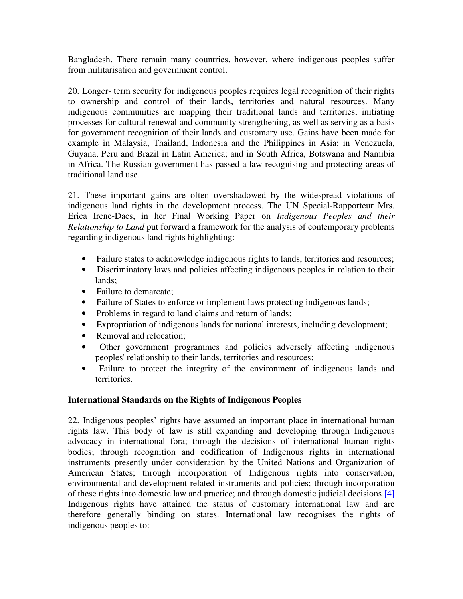Bangladesh. There remain many countries, however, where indigenous peoples suffer from militarisation and government control.

20. Longer- term security for indigenous peoples requires legal recognition of their rights to ownership and control of their lands, territories and natural resources. Many indigenous communities are mapping their traditional lands and territories, initiating processes for cultural renewal and community strengthening, as well as serving as a basis for government recognition of their lands and customary use. Gains have been made for example in Malaysia, Thailand, Indonesia and the Philippines in Asia; in Venezuela, Guyana, Peru and Brazil in Latin America; and in South Africa, Botswana and Namibia in Africa. The Russian government has passed a law recognising and protecting areas of traditional land use.

21. These important gains are often overshadowed by the widespread violations of indigenous land rights in the development process. The UN Special-Rapporteur Mrs. Erica Irene-Daes, in her Final Working Paper on *Indigenous Peoples and their Relationship to Land* put forward a framework for the analysis of contemporary problems regarding indigenous land rights highlighting:

- Failure states to acknowledge indigenous rights to lands, territories and resources;
- Discriminatory laws and policies affecting indigenous peoples in relation to their lands;
- Failure to demarcate:
- Failure of States to enforce or implement laws protecting indigenous lands;
- Problems in regard to land claims and return of lands;
- Expropriation of indigenous lands for national interests, including development;
- Removal and relocation:
- Other government programmes and policies adversely affecting indigenous peoples' relationship to their lands, territories and resources;
- Failure to protect the integrity of the environment of indigenous lands and territories.

## **International Standards on the Rights of Indigenous Peoples**

22. Indigenous peoples' rights have assumed an important place in international human rights law. This body of law is still expanding and developing through Indigenous advocacy in international fora; through the decisions of international human rights bodies; through recognition and codification of Indigenous rights in international instruments presently under consideration by the United Nations and Organization of American States; through incorporation of Indigenous rights into conservation, environmental and development-related instruments and policies; through incorporation of these rights into domestic law and practice; and through domestic judicial decisions.[4] Indigenous rights have attained the status of customary international law and are therefore generally binding on states. International law recognises the rights of indigenous peoples to: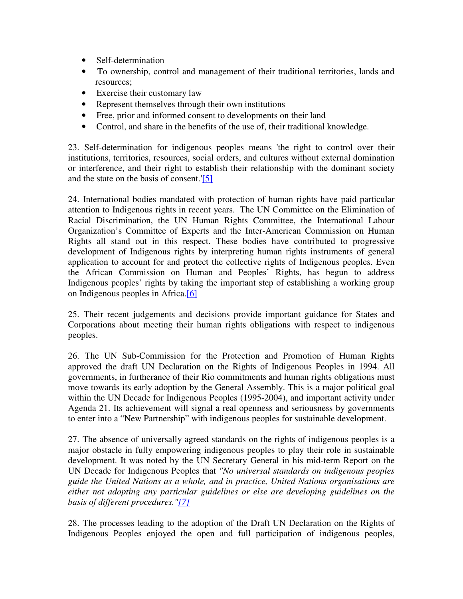- Self-determination
- To ownership, control and management of their traditional territories, lands and resources;
- Exercise their customary law
- Represent themselves through their own institutions
- Free, prior and informed consent to developments on their land
- Control, and share in the benefits of the use of, their traditional knowledge.

23. Self-determination for indigenous peoples means 'the right to control over their institutions, territories, resources, social orders, and cultures without external domination or interference, and their right to establish their relationship with the dominant society and the state on the basis of consent.'[5]

24. International bodies mandated with protection of human rights have paid particular attention to Indigenous rights in recent years. The UN Committee on the Elimination of Racial Discrimination, the UN Human Rights Committee, the International Labour Organization's Committee of Experts and the Inter-American Commission on Human Rights all stand out in this respect. These bodies have contributed to progressive development of Indigenous rights by interpreting human rights instruments of general application to account for and protect the collective rights of Indigenous peoples. Even the African Commission on Human and Peoples' Rights, has begun to address Indigenous peoples' rights by taking the important step of establishing a working group on Indigenous peoples in Africa.[6]

25. Their recent judgements and decisions provide important guidance for States and Corporations about meeting their human rights obligations with respect to indigenous peoples.

26. The UN Sub-Commission for the Protection and Promotion of Human Rights approved the draft UN Declaration on the Rights of Indigenous Peoples in 1994. All governments, in furtherance of their Rio commitments and human rights obligations must move towards its early adoption by the General Assembly. This is a major political goal within the UN Decade for Indigenous Peoples (1995-2004), and important activity under Agenda 21. Its achievement will signal a real openness and seriousness by governments to enter into a "New Partnership" with indigenous peoples for sustainable development.

27. The absence of universally agreed standards on the rights of indigenous peoples is a major obstacle in fully empowering indigenous peoples to play their role in sustainable development. It was noted by the UN Secretary General in his mid-term Report on the UN Decade for Indigenous Peoples that *"No universal standards on indigenous peoples guide the United Nations as a whole, and in practice, United Nations organisations are either not adopting any particular guidelines or else are developing guidelines on the basis of different procedures."[7]*

28. The processes leading to the adoption of the Draft UN Declaration on the Rights of Indigenous Peoples enjoyed the open and full participation of indigenous peoples,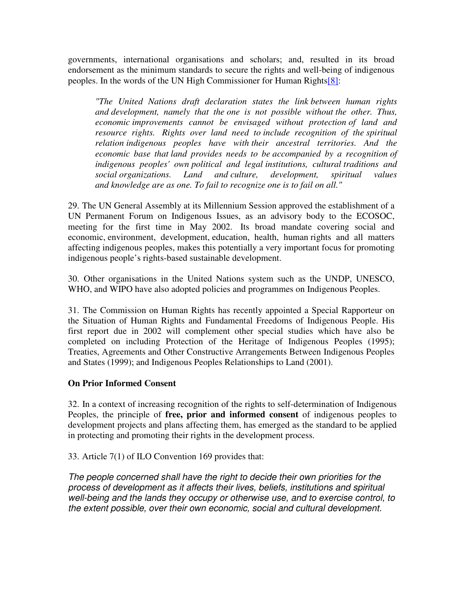governments, international organisations and scholars; and, resulted in its broad endorsement as the minimum standards to secure the rights and well-being of indigenous peoples. In the words of the UN High Commissioner for Human Rights[8]:

*"The United Nations draft declaration states the link between human rights and development, namely that the one is not possible without the other. Thus, economic improvements cannot be envisaged without protection of land and resource rights. Rights over land need to include recognition of the spiritual relation indigenous peoples have with their ancestral territories. And the economic base that land provides needs to be accompanied by a recognition of indigenous peoples' own political and legal institutions, cultural traditions and social organizations. Land and culture, development, spiritual values and knowledge are as one. To fail to recognize one is to fail on all."*

29. The UN General Assembly at its Millennium Session approved the establishment of a UN Permanent Forum on Indigenous Issues, as an advisory body to the ECOSOC, meeting for the first time in May 2002. Its broad mandate covering social and economic, environment, development, education, health, human rights and all matters affecting indigenous peoples, makes this potentially a very important focus for promoting indigenous people's rights-based sustainable development.

30. Other organisations in the United Nations system such as the UNDP, UNESCO, WHO, and WIPO have also adopted policies and programmes on Indigenous Peoples.

31. The Commission on Human Rights has recently appointed a Special Rapporteur on the Situation of Human Rights and Fundamental Freedoms of Indigenous People. His first report due in 2002 will complement other special studies which have also be completed on including Protection of the Heritage of Indigenous Peoples (1995); Treaties, Agreements and Other Constructive Arrangements Between Indigenous Peoples and States (1999); and Indigenous Peoples Relationships to Land (2001).

## **On Prior Informed Consent**

32. In a context of increasing recognition of the rights to self-determination of Indigenous Peoples, the principle of **free, prior and informed consent** of indigenous peoples to development projects and plans affecting them, has emerged as the standard to be applied in protecting and promoting their rights in the development process.

33. Article 7(1) of ILO Convention 169 provides that:

*The people concerned shall have the right to decide their own priorities for the process of development as it affects their lives, beliefs, institutions and spiritual well-being and the lands they occupy or otherwise use, and to exercise control, to the extent possible, over their own economic, social and cultural development.*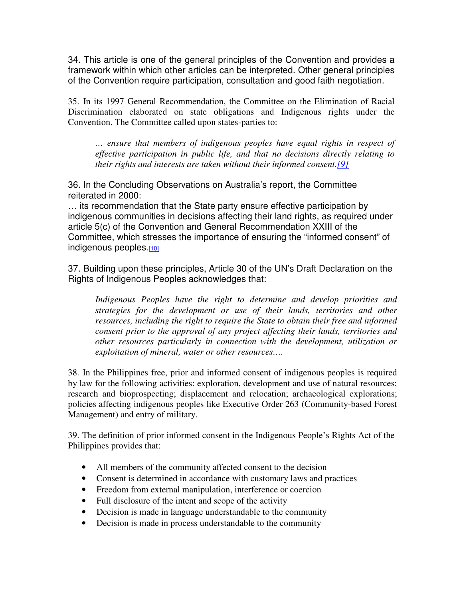34. This article is one of the general principles of the Convention and provides a framework within which other articles can be interpreted. Other general principles of the Convention require participation, consultation and good faith negotiation.

35. In its 1997 General Recommendation, the Committee on the Elimination of Racial Discrimination elaborated on state obligations and Indigenous rights under the Convention. The Committee called upon states-parties to:

*… ensure that members of indigenous peoples have equal rights in respect of effective participation in public life, and that no decisions directly relating to their rights and interests are taken without their informed consent.[9]*

36. In the Concluding Observations on Australia's report, the Committee reiterated in 2000:

… its recommendation that the State party ensure effective participation by indigenous communities in decisions affecting their land rights, as required under article 5(c) of the Convention and General Recommendation XXIII of the Committee, which stresses the importance of ensuring the "informed consent" of indigenous peoples.[10]

37. Building upon these principles, Article 30 of the UN's Draft Declaration on the Rights of Indigenous Peoples acknowledges that:

*Indigenous Peoples have the right to determine and develop priorities and strategies for the development or use of their lands, territories and other resources, including the right to require the State to obtain their free and informed consent prior to the approval of any project affecting their lands, territories and other resources particularly in connection with the development, utilization or exploitation of mineral, water or other resources….*

38. In the Philippines free, prior and informed consent of indigenous peoples is required by law for the following activities: exploration, development and use of natural resources; research and bioprospecting; displacement and relocation; archaeological explorations; policies affecting indigenous peoples like Executive Order 263 (Community-based Forest Management) and entry of military.

39. The definition of prior informed consent in the Indigenous People's Rights Act of the Philippines provides that:

- All members of the community affected consent to the decision
- Consent is determined in accordance with customary laws and practices
- Freedom from external manipulation, interference or coercion
- Full disclosure of the intent and scope of the activity
- Decision is made in language understandable to the community
- Decision is made in process understandable to the community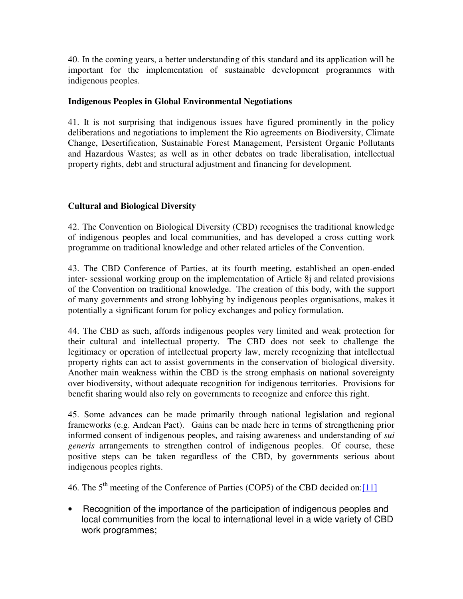40. In the coming years, a better understanding of this standard and its application will be important for the implementation of sustainable development programmes with indigenous peoples.

## **Indigenous Peoples in Global Environmental Negotiations**

41. It is not surprising that indigenous issues have figured prominently in the policy deliberations and negotiations to implement the Rio agreements on Biodiversity, Climate Change, Desertification, Sustainable Forest Management, Persistent Organic Pollutants and Hazardous Wastes; as well as in other debates on trade liberalisation, intellectual property rights, debt and structural adjustment and financing for development.

## **Cultural and Biological Diversity**

42. The Convention on Biological Diversity (CBD) recognises the traditional knowledge of indigenous peoples and local communities, and has developed a cross cutting work programme on traditional knowledge and other related articles of the Convention.

43. The CBD Conference of Parties, at its fourth meeting, established an open-ended inter- sessional working group on the implementation of Article 8j and related provisions of the Convention on traditional knowledge. The creation of this body, with the support of many governments and strong lobbying by indigenous peoples organisations, makes it potentially a significant forum for policy exchanges and policy formulation.

44. The CBD as such, affords indigenous peoples very limited and weak protection for their cultural and intellectual property. The CBD does not seek to challenge the legitimacy or operation of intellectual property law, merely recognizing that intellectual property rights can act to assist governments in the conservation of biological diversity. Another main weakness within the CBD is the strong emphasis on national sovereignty over biodiversity, without adequate recognition for indigenous territories. Provisions for benefit sharing would also rely on governments to recognize and enforce this right.

45. Some advances can be made primarily through national legislation and regional frameworks (e.g. Andean Pact). Gains can be made here in terms of strengthening prior informed consent of indigenous peoples, and raising awareness and understanding of *sui generis* arrangements to strengthen control of indigenous peoples. Of course, these positive steps can be taken regardless of the CBD, by governments serious about indigenous peoples rights.

46. The  $5<sup>th</sup>$  meeting of the Conference of Parties (COP5) of the CBD decided on: $[11]$ 

• Recognition of the importance of the participation of indigenous peoples and local communities from the local to international level in a wide variety of CBD work programmes;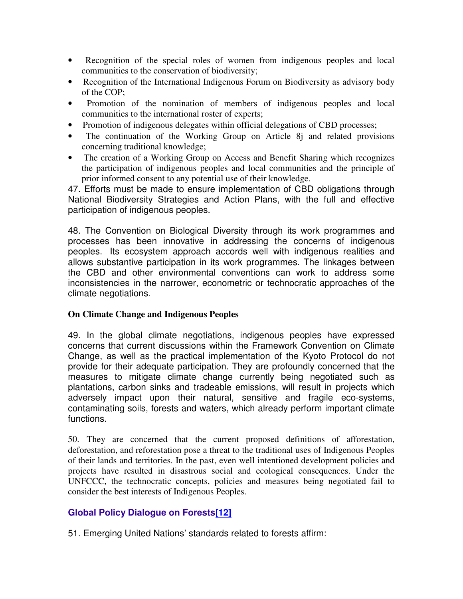- Recognition of the special roles of women from indigenous peoples and local communities to the conservation of biodiversity;
- Recognition of the International Indigenous Forum on Biodiversity as advisory body of the COP;
- Promotion of the nomination of members of indigenous peoples and local communities to the international roster of experts;
- Promotion of indigenous delegates within official delegations of CBD processes;
- The continuation of the Working Group on Article 8j and related provisions concerning traditional knowledge;
- The creation of a Working Group on Access and Benefit Sharing which recognizes the participation of indigenous peoples and local communities and the principle of prior informed consent to any potential use of their knowledge.

47. Efforts must be made to ensure implementation of CBD obligations through National Biodiversity Strategies and Action Plans, with the full and effective participation of indigenous peoples.

48. The Convention on Biological Diversity through its work programmes and processes has been innovative in addressing the concerns of indigenous peoples. Its ecosystem approach accords well with indigenous realities and allows substantive participation in its work programmes. The linkages between the CBD and other environmental conventions can work to address some inconsistencies in the narrower, econometric or technocratic approaches of the climate negotiations.

## **On Climate Change and Indigenous Peoples**

49. In the global climate negotiations, indigenous peoples have expressed concerns that current discussions within the Framework Convention on Climate Change, as well as the practical implementation of the Kyoto Protocol do not provide for their adequate participation. They are profoundly concerned that the measures to mitigate climate change currently being negotiated such as plantations, carbon sinks and tradeable emissions, will result in projects which adversely impact upon their natural, sensitive and fragile eco-systems, contaminating soils, forests and waters, which already perform important climate functions.

50. They are concerned that the current proposed definitions of afforestation, deforestation, and reforestation pose a threat to the traditional uses of Indigenous Peoples of their lands and territories. In the past, even well intentioned development policies and projects have resulted in disastrous social and ecological consequences. Under the UNFCCC, the technocratic concepts, policies and measures being negotiated fail to consider the best interests of Indigenous Peoples.

## **Global Policy Dialogue on Forests[12]**

51. Emerging United Nations' standards related to forests affirm: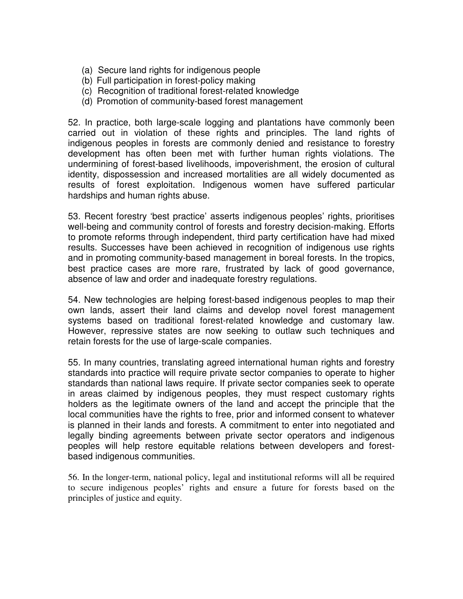- (a) Secure land rights for indigenous people
- (b) Full participation in forest-policy making
- (c) Recognition of traditional forest-related knowledge
- (d) Promotion of community-based forest management

52. In practice, both large-scale logging and plantations have commonly been carried out in violation of these rights and principles. The land rights of indigenous peoples in forests are commonly denied and resistance to forestry development has often been met with further human rights violations. The undermining of forest-based livelihoods, impoverishment, the erosion of cultural identity, dispossession and increased mortalities are all widely documented as results of forest exploitation. Indigenous women have suffered particular hardships and human rights abuse.

53. Recent forestry 'best practice' asserts indigenous peoples' rights, prioritises well-being and community control of forests and forestry decision-making. Efforts to promote reforms through independent, third party certification have had mixed results. Successes have been achieved in recognition of indigenous use rights and in promoting community-based management in boreal forests. In the tropics, best practice cases are more rare, frustrated by lack of good governance, absence of law and order and inadequate forestry regulations.

54. New technologies are helping forest-based indigenous peoples to map their own lands, assert their land claims and develop novel forest management systems based on traditional forest-related knowledge and customary law. However, repressive states are now seeking to outlaw such techniques and retain forests for the use of large-scale companies.

55. In many countries, translating agreed international human rights and forestry standards into practice will require private sector companies to operate to higher standards than national laws require. If private sector companies seek to operate in areas claimed by indigenous peoples, they must respect customary rights holders as the legitimate owners of the land and accept the principle that the local communities have the rights to free, prior and informed consent to whatever is planned in their lands and forests. A commitment to enter into negotiated and legally binding agreements between private sector operators and indigenous peoples will help restore equitable relations between developers and forestbased indigenous communities.

56. In the longer-term, national policy, legal and institutional reforms will all be required to secure indigenous peoples' rights and ensure a future for forests based on the principles of justice and equity.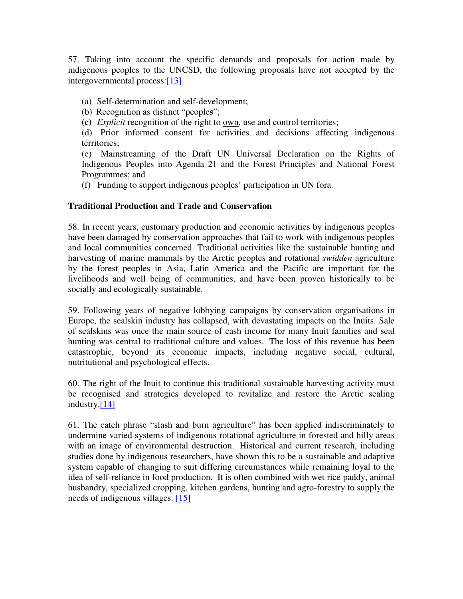57. Taking into account the specific demands and proposals for action made by indigenous peoples to the UNCSD, the following proposals have not accepted by the intergovernmental process:[13]

(a) Self-determination and self-development;

(b) Recognition as distinct "people**s**";

**(c)** *Explicit* recognition of the right to own, use and control territories;

(d) Prior informed consent for activities and decisions affecting indigenous territories;

(e) Mainstreaming of the Draft UN Universal Declaration on the Rights of Indigenous Peoples into Agenda 21 and the Forest Principles and National Forest Programmes; and

(f) Funding to support indigenous peoples' participation in UN fora.

### **Traditional Production and Trade and Conservation**

58. In recent years, customary production and economic activities by indigenous peoples have been damaged by conservation approaches that fail to work with indigenous peoples and local communities concerned. Traditional activities like the sustainable hunting and harvesting of marine mammals by the Arctic peoples and rotational *swidden* agriculture by the forest peoples in Asia, Latin America and the Pacific are important for the livelihoods and well being of communities, and have been proven historically to be socially and ecologically sustainable.

59. Following years of negative lobbying campaigns by conservation organisations in Europe, the sealskin industry has collapsed, with devastating impacts on the Inuits. Sale of sealskins was once the main source of cash income for many Inuit families and seal hunting was central to traditional culture and values. The loss of this revenue has been catastrophic, beyond its economic impacts, including negative social, cultural, nutritutional and psychological effects.

60. The right of the Inuit to continue this traditional sustainable harvesting activity must be recognised and strategies developed to revitalize and restore the Arctic sealing industry.[14]

61. The catch phrase "slash and burn agriculture" has been applied indiscriminately to undermine varied systems of indigenous rotational agriculture in forested and hilly areas with an image of environmental destruction. Historical and current research, including studies done by indigenous researchers, have shown this to be a sustainable and adaptive system capable of changing to suit differing circumstances while remaining loyal to the idea of self-reliance in food production. It is often combined with wet rice paddy, animal husbandry, specialized cropping, kitchen gardens, hunting and agro-forestry to supply the needs of indigenous villages. [15]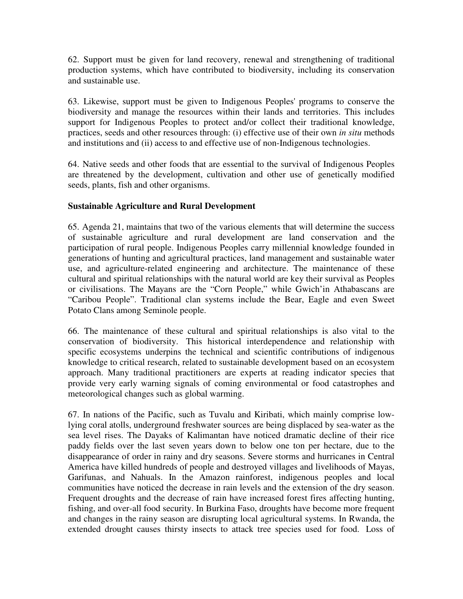62. Support must be given for land recovery, renewal and strengthening of traditional production systems, which have contributed to biodiversity, including its conservation and sustainable use.

63. Likewise, support must be given to Indigenous Peoples' programs to conserve the biodiversity and manage the resources within their lands and territories. This includes support for Indigenous Peoples to protect and/or collect their traditional knowledge, practices, seeds and other resources through: (i) effective use of their own *in situ* methods and institutions and (ii) access to and effective use of non-Indigenous technologies.

64. Native seeds and other foods that are essential to the survival of Indigenous Peoples are threatened by the development, cultivation and other use of genetically modified seeds, plants, fish and other organisms.

## **Sustainable Agriculture and Rural Development**

65. Agenda 21, maintains that two of the various elements that will determine the success of sustainable agriculture and rural development are land conservation and the participation of rural people. Indigenous Peoples carry millennial knowledge founded in generations of hunting and agricultural practices, land management and sustainable water use, and agriculture-related engineering and architecture. The maintenance of these cultural and spiritual relationships with the natural world are key their survival as Peoples or civilisations. The Mayans are the "Corn People," while Gwich'in Athabascans are "Caribou People". Traditional clan systems include the Bear, Eagle and even Sweet Potato Clans among Seminole people.

66. The maintenance of these cultural and spiritual relationships is also vital to the conservation of biodiversity. This historical interdependence and relationship with specific ecosystems underpins the technical and scientific contributions of indigenous knowledge to critical research, related to sustainable development based on an ecosystem approach. Many traditional practitioners are experts at reading indicator species that provide very early warning signals of coming environmental or food catastrophes and meteorological changes such as global warming.

67. In nations of the Pacific, such as Tuvalu and Kiribati, which mainly comprise lowlying coral atolls, underground freshwater sources are being displaced by sea-water as the sea level rises. The Dayaks of Kalimantan have noticed dramatic decline of their rice paddy fields over the last seven years down to below one ton per hectare, due to the disappearance of order in rainy and dry seasons. Severe storms and hurricanes in Central America have killed hundreds of people and destroyed villages and livelihoods of Mayas, Garifunas, and Nahuals. In the Amazon rainforest, indigenous peoples and local communities have noticed the decrease in rain levels and the extension of the dry season. Frequent droughts and the decrease of rain have increased forest fires affecting hunting, fishing, and over-all food security. In Burkina Faso, droughts have become more frequent and changes in the rainy season are disrupting local agricultural systems. In Rwanda, the extended drought causes thirsty insects to attack tree species used for food. Loss of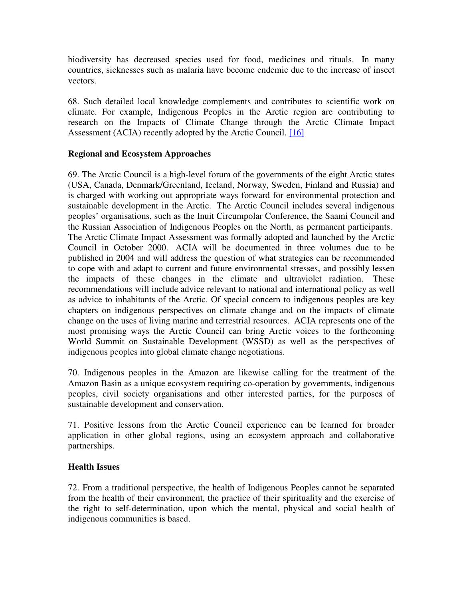biodiversity has decreased species used for food, medicines and rituals. In many countries, sicknesses such as malaria have become endemic due to the increase of insect vectors.

68. Such detailed local knowledge complements and contributes to scientific work on climate. For example, Indigenous Peoples in the Arctic region are contributing to research on the Impacts of Climate Change through the Arctic Climate Impact Assessment (ACIA) recently adopted by the Arctic Council. [16]

### **Regional and Ecosystem Approaches**

69. The Arctic Council is a high-level forum of the governments of the eight Arctic states (USA, Canada, Denmark/Greenland, Iceland, Norway, Sweden, Finland and Russia) and is charged with working out appropriate ways forward for environmental protection and sustainable development in the Arctic. The Arctic Council includes several indigenous peoples' organisations, such as the Inuit Circumpolar Conference, the Saami Council and the Russian Association of Indigenous Peoples on the North, as permanent participants. The Arctic Climate Impact Assessment was formally adopted and launched by the Arctic Council in October 2000. ACIA will be documented in three volumes due to be published in 2004 and will address the question of what strategies can be recommended to cope with and adapt to current and future environmental stresses, and possibly lessen the impacts of these changes in the climate and ultraviolet radiation. These recommendations will include advice relevant to national and international policy as well as advice to inhabitants of the Arctic. Of special concern to indigenous peoples are key chapters on indigenous perspectives on climate change and on the impacts of climate change on the uses of living marine and terrestrial resources. ACIA represents one of the most promising ways the Arctic Council can bring Arctic voices to the forthcoming World Summit on Sustainable Development (WSSD) as well as the perspectives of indigenous peoples into global climate change negotiations.

70. Indigenous peoples in the Amazon are likewise calling for the treatment of the Amazon Basin as a unique ecosystem requiring co-operation by governments, indigenous peoples, civil society organisations and other interested parties, for the purposes of sustainable development and conservation.

71. Positive lessons from the Arctic Council experience can be learned for broader application in other global regions, using an ecosystem approach and collaborative partnerships.

## **Health Issues**

72. From a traditional perspective, the health of Indigenous Peoples cannot be separated from the health of their environment, the practice of their spirituality and the exercise of the right to self-determination, upon which the mental, physical and social health of indigenous communities is based.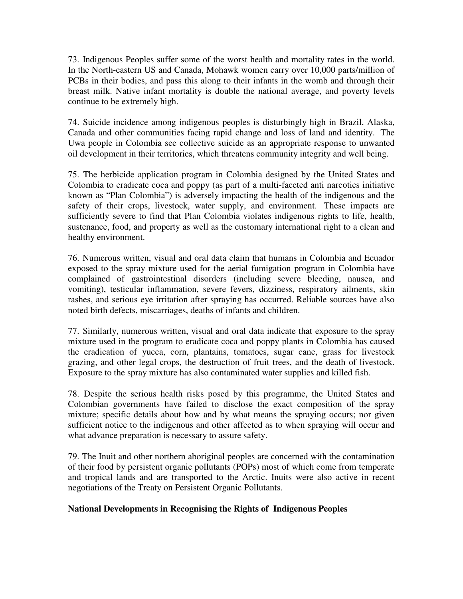73. Indigenous Peoples suffer some of the worst health and mortality rates in the world. In the North-eastern US and Canada, Mohawk women carry over 10,000 parts/million of PCBs in their bodies, and pass this along to their infants in the womb and through their breast milk. Native infant mortality is double the national average, and poverty levels continue to be extremely high.

74. Suicide incidence among indigenous peoples is disturbingly high in Brazil, Alaska, Canada and other communities facing rapid change and loss of land and identity. The Uwa people in Colombia see collective suicide as an appropriate response to unwanted oil development in their territories, which threatens community integrity and well being.

75. The herbicide application program in Colombia designed by the United States and Colombia to eradicate coca and poppy (as part of a multi-faceted anti narcotics initiative known as "Plan Colombia") is adversely impacting the health of the indigenous and the safety of their crops, livestock, water supply, and environment. These impacts are sufficiently severe to find that Plan Colombia violates indigenous rights to life, health, sustenance, food, and property as well as the customary international right to a clean and healthy environment.

76. Numerous written, visual and oral data claim that humans in Colombia and Ecuador exposed to the spray mixture used for the aerial fumigation program in Colombia have complained of gastrointestinal disorders (including severe bleeding, nausea, and vomiting), testicular inflammation, severe fevers, dizziness, respiratory ailments, skin rashes, and serious eye irritation after spraying has occurred. Reliable sources have also noted birth defects, miscarriages, deaths of infants and children.

77. Similarly, numerous written, visual and oral data indicate that exposure to the spray mixture used in the program to eradicate coca and poppy plants in Colombia has caused the eradication of yucca, corn, plantains, tomatoes, sugar cane, grass for livestock grazing, and other legal crops, the destruction of fruit trees, and the death of livestock. Exposure to the spray mixture has also contaminated water supplies and killed fish.

78. Despite the serious health risks posed by this programme, the United States and Colombian governments have failed to disclose the exact composition of the spray mixture; specific details about how and by what means the spraying occurs; nor given sufficient notice to the indigenous and other affected as to when spraying will occur and what advance preparation is necessary to assure safety.

79. The Inuit and other northern aboriginal peoples are concerned with the contamination of their food by persistent organic pollutants (POPs) most of which come from temperate and tropical lands and are transported to the Arctic. Inuits were also active in recent negotiations of the Treaty on Persistent Organic Pollutants.

## **National Developments in Recognising the Rights of Indigenous Peoples**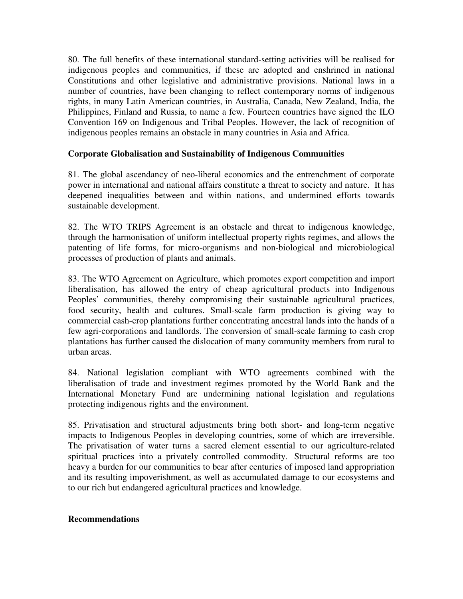80. The full benefits of these international standard-setting activities will be realised for indigenous peoples and communities, if these are adopted and enshrined in national Constitutions and other legislative and administrative provisions. National laws in a number of countries, have been changing to reflect contemporary norms of indigenous rights, in many Latin American countries, in Australia, Canada, New Zealand, India, the Philippines, Finland and Russia, to name a few. Fourteen countries have signed the ILO Convention 169 on Indigenous and Tribal Peoples. However, the lack of recognition of indigenous peoples remains an obstacle in many countries in Asia and Africa.

### **Corporate Globalisation and Sustainability of Indigenous Communities**

81. The global ascendancy of neo-liberal economics and the entrenchment of corporate power in international and national affairs constitute a threat to society and nature. It has deepened inequalities between and within nations, and undermined efforts towards sustainable development.

82. The WTO TRIPS Agreement is an obstacle and threat to indigenous knowledge, through the harmonisation of uniform intellectual property rights regimes, and allows the patenting of life forms, for micro-organisms and non-biological and microbiological processes of production of plants and animals.

83. The WTO Agreement on Agriculture, which promotes export competition and import liberalisation, has allowed the entry of cheap agricultural products into Indigenous Peoples' communities, thereby compromising their sustainable agricultural practices, food security, health and cultures. Small-scale farm production is giving way to commercial cash-crop plantations further concentrating ancestral lands into the hands of a few agri-corporations and landlords. The conversion of small-scale farming to cash crop plantations has further caused the dislocation of many community members from rural to urban areas.

84. National legislation compliant with WTO agreements combined with the liberalisation of trade and investment regimes promoted by the World Bank and the International Monetary Fund are undermining national legislation and regulations protecting indigenous rights and the environment.

85. Privatisation and structural adjustments bring both short- and long-term negative impacts to Indigenous Peoples in developing countries, some of which are irreversible. The privatisation of water turns a sacred element essential to our agriculture-related spiritual practices into a privately controlled commodity. Structural reforms are too heavy a burden for our communities to bear after centuries of imposed land appropriation and its resulting impoverishment, as well as accumulated damage to our ecosystems and to our rich but endangered agricultural practices and knowledge.

### **Recommendations**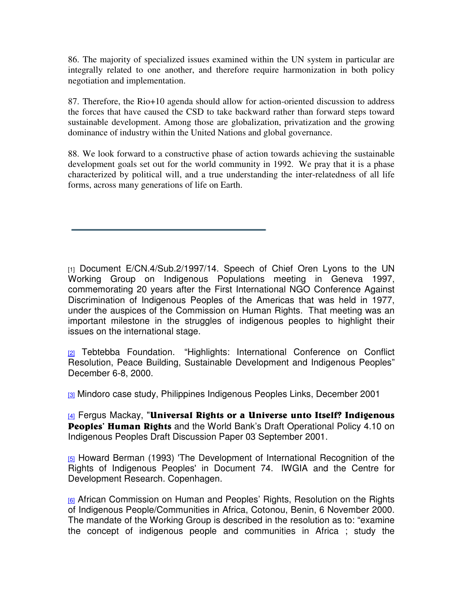86. The majority of specialized issues examined within the UN system in particular are integrally related to one another, and therefore require harmonization in both policy negotiation and implementation.

87. Therefore, the Rio+10 agenda should allow for action-oriented discussion to address the forces that have caused the CSD to take backward rather than forward steps toward sustainable development. Among those are globalization, privatization and the growing dominance of industry within the United Nations and global governance.

88. We look forward to a constructive phase of action towards achieving the sustainable development goals set out for the world community in 1992. We pray that it is a phase characterized by political will, and a true understanding the inter-relatedness of all life forms, across many generations of life on Earth.

[1] Document E/CN.4/Sub.2/1997/14. Speech of Chief Oren Lyons to the UN Working Group on Indigenous Populations meeting in Geneva 1997, commemorating 20 years after the First International NGO Conference Against Discrimination of Indigenous Peoples of the Americas that was held in 1977, under the auspices of the Commission on Human Rights. That meeting was an important milestone in the struggles of indigenous peoples to highlight their issues on the international stage.

<sup>[2]</sup> Tebtebba Foundation. "Highlights: International Conference on Conflict Resolution, Peace Building, Sustainable Development and Indigenous Peoples" December 6-8, 2000.

**[3]** Mindoro case study, Philippines Indigenous Peoples Links, December 2001

[<u>4</u>] Fergus Mackay, "**Universal Rights or a Universe unto Itself? Indigenous** Peoples' Human Rights and the World Bank's Draft Operational Policy 4.10 on Indigenous Peoples Draft Discussion Paper 03 September 2001.

[5] Howard Berman (1993) 'The Development of International Recognition of the Rights of Indigenous Peoples' in Document 74. IWGIA and the Centre for Development Research. Copenhagen.

[6] African Commission on Human and Peoples' Rights, Resolution on the Rights of Indigenous People/Communities in Africa, Cotonou, Benin, 6 November 2000. The mandate of the Working Group is described in the resolution as to: "examine the concept of indigenous people and communities in Africa ; study the